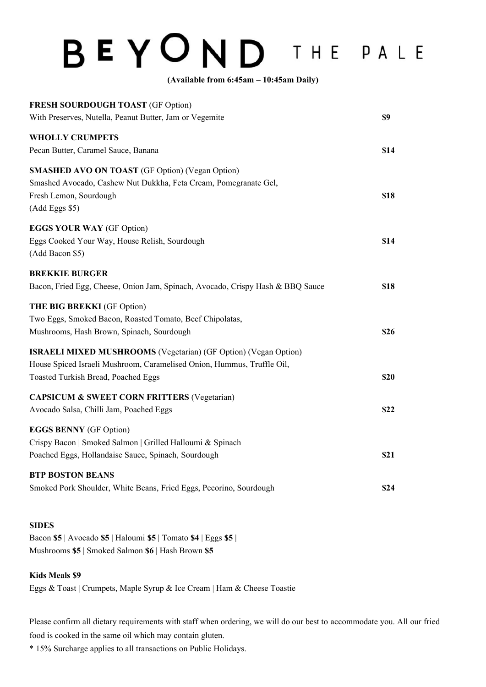## BEYOND THE PALE

**(Available from 6:45am – 10:45am Daily)**

| <b>FRESH SOURDOUGH TOAST (GF Option)</b><br>With Preserves, Nutella, Peanut Butter, Jam or Vegemite                                                                                     | \$9  |
|-----------------------------------------------------------------------------------------------------------------------------------------------------------------------------------------|------|
| <b>WHOLLY CRUMPETS</b><br>Pecan Butter, Caramel Sauce, Banana                                                                                                                           | \$14 |
| <b>SMASHED AVO ON TOAST</b> (GF Option) (Vegan Option)<br>Smashed Avocado, Cashew Nut Dukkha, Feta Cream, Pomegranate Gel,<br>Fresh Lemon, Sourdough<br>(Add Eggs \$5)                  | \$18 |
| <b>EGGS YOUR WAY (GF Option)</b><br>Eggs Cooked Your Way, House Relish, Sourdough<br>(Add Bacon \$5)                                                                                    | \$14 |
| <b>BREKKIE BURGER</b><br>Bacon, Fried Egg, Cheese, Onion Jam, Spinach, Avocado, Crispy Hash & BBQ Sauce                                                                                 | \$18 |
| <b>THE BIG BREKKI</b> (GF Option)<br>Two Eggs, Smoked Bacon, Roasted Tomato, Beef Chipolatas,<br>Mushrooms, Hash Brown, Spinach, Sourdough                                              | \$26 |
| <b>ISRAELI MIXED MUSHROOMS</b> (Vegetarian) (GF Option) (Vegan Option)<br>House Spiced Israeli Mushroom, Caramelised Onion, Hummus, Truffle Oil,<br>Toasted Turkish Bread, Poached Eggs | \$20 |
| <b>CAPSICUM &amp; SWEET CORN FRITTERS (Vegetarian)</b><br>Avocado Salsa, Chilli Jam, Poached Eggs                                                                                       | \$22 |
| <b>EGGS BENNY</b> (GF Option)<br>Crispy Bacon   Smoked Salmon   Grilled Halloumi & Spinach<br>Poached Eggs, Hollandaise Sauce, Spinach, Sourdough                                       | \$21 |
| <b>BTP BOSTON BEANS</b><br>Smoked Pork Shoulder, White Beans, Fried Eggs, Pecorino, Sourdough                                                                                           | \$24 |
| <b>SIDES</b><br>Bacon \$5   Avocado \$5   Haloumi \$5   Tomato \$4   Eggs \$5  <br>Mushrooms \$5   Smoked Salmon \$6   Hash Brown \$5                                                   |      |
| <b>Kids Meals \$9</b>                                                                                                                                                                   |      |

Eggs & Toast | Crumpets, Maple Syrup & Ice Cream | Ham & Cheese Toastie

Please confirm all dietary requirements with staff when ordering, we will do our best to accommodate you. All our fried food is cooked in the same oil which may contain gluten.

\* 15% Surcharge applies to all transactions on Public Holidays.